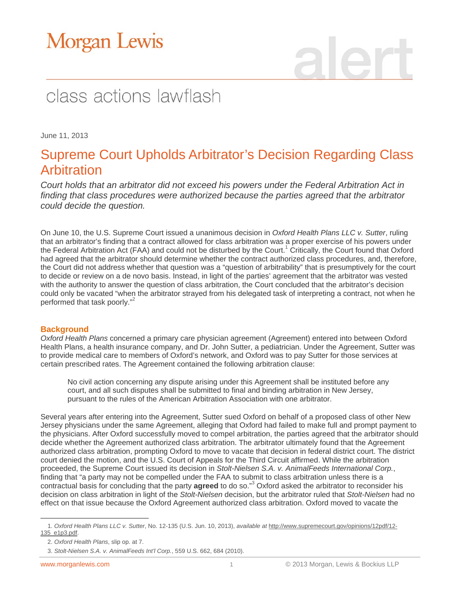# class actions lawflash

June 11, 2013

### Supreme Court Upholds Arbitrator's Decision Regarding Class Arbitration

*Court holds that an arbitrator did not exceed his powers under the Federal Arbitration Act in finding that class procedures were authorized because the parties agreed that the arbitrator could decide the question.*

On June 10, the U.S. Supreme Court issued a unanimous decision in *Oxford Health Plans LLC v. Sutter*, ruling that an arbitrator's finding that a contract allowed for class arbitration was a proper exercise of his powers under the Federal Arbitration Act (FAA) and could not be disturbed by the Court.<sup>1</sup> Critically, the Court found that Oxford had agreed that the arbitrator should determine whether the contract authorized class procedures, and, therefore, the Court did not address whether that question was a "question of arbitrability" that is presumptively for the court to decide or review on a de novo basis. Instead, in light of the parties' agreement that the arbitrator was vested with the authority to answer the question of class arbitration, the Court concluded that the arbitrator's decision could only be vacated "when the arbitrator strayed from his delegated task of interpreting a contract, not when he performed that task poorly."<sup>2</sup>

### **Background**

*Oxford Health Plans* concerned a primary care physician agreement (Agreement) entered into between Oxford Health Plans, a health insurance company, and Dr. John Sutter, a pediatrician. Under the Agreement, Sutter was to provide medical care to members of Oxford's network, and Oxford was to pay Sutter for those services at certain prescribed rates. The Agreement contained the following arbitration clause:

No civil action concerning any dispute arising under this Agreement shall be instituted before any court, and all such disputes shall be submitted to final and binding arbitration in New Jersey, pursuant to the rules of the American Arbitration Association with one arbitrator.

Several years after entering into the Agreement, Sutter sued Oxford on behalf of a proposed class of other New Jersey physicians under the same Agreement, alleging that Oxford had failed to make full and prompt payment to the physicians. After Oxford successfully moved to compel arbitration, the parties agreed that the arbitrator should decide whether the Agreement authorized class arbitration. The arbitrator ultimately found that the Agreement authorized class arbitration, prompting Oxford to move to vacate that decision in federal district court. The district court denied the motion, and the U.S. Court of Appeals for the Third Circuit affirmed. While the arbitration proceeded, the Supreme Court issued its decision in *Stolt-Nielsen S.A. v. AnimalFeeds International Corp.*, finding that "a party may not be compelled under the FAA to submit to class arbitration unless there is a contractual basis for concluding that the party **agreed** to do so."3 Oxford asked the arbitrator to reconsider his decision on class arbitration in light of the *Stolt-Nielsen* decision, but the arbitrator ruled that *Stolt-Nielsen* had no effect on that issue because the Oxford Agreement authorized class arbitration. Oxford moved to vacate the

 $\overline{a}$ 

<sup>1.</sup> *Oxford Health Plans LLC v. Sutter*, No. 12-135 (U.S. Jun. 10, 2013), *available at* http://www.supremecourt.gov/opinions/12pdf/12- 135\_e1p3.pdf.

<sup>2.</sup> *Oxford Health Plans*, slip op. at 7.

<sup>3.</sup> *Stolt-Nielsen S.A. v. AnimalFeeds Int'l Corp.*, 559 U.S. 662, 684 (2010).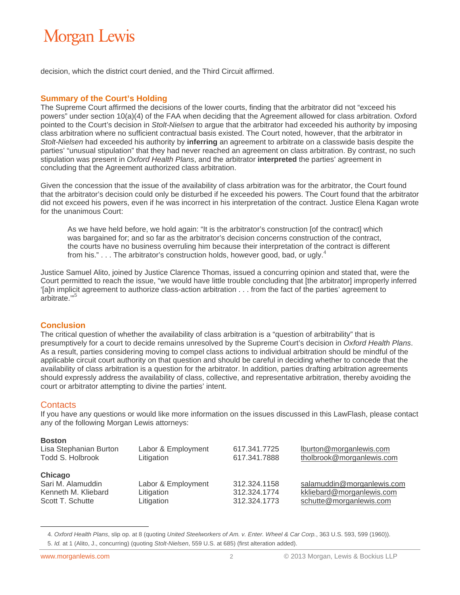decision, which the district court denied, and the Third Circuit affirmed.

#### **Summary of the Court's Holding**

The Supreme Court affirmed the decisions of the lower courts, finding that the arbitrator did not "exceed his powers" under section 10(a)(4) of the FAA when deciding that the Agreement allowed for class arbitration. Oxford pointed to the Court's decision in *Stolt-Nielsen* to argue that the arbitrator had exceeded his authority by imposing class arbitration where no sufficient contractual basis existed. The Court noted, however, that the arbitrator in *Stolt-Nielsen* had exceeded his authority by **inferring** an agreement to arbitrate on a classwide basis despite the parties' "unusual stipulation" that they had never reached an agreement on class arbitration. By contrast, no such stipulation was present in *Oxford Health Plans*, and the arbitrator **interpreted** the parties' agreement in concluding that the Agreement authorized class arbitration.

Given the concession that the issue of the availability of class arbitration was for the arbitrator, the Court found that the arbitrator's decision could only be disturbed if he exceeded his powers. The Court found that the arbitrator did not exceed his powers, even if he was incorrect in his interpretation of the contract. Justice Elena Kagan wrote for the unanimous Court:

As we have held before, we hold again: "It is the arbitrator's construction [of the contract] which was bargained for; and so far as the arbitrator's decision concerns construction of the contract, the courts have no business overruling him because their interpretation of the contract is different from his."  $\ldots$  The arbitrator's construction holds, however good, bad, or ugly.<sup>4</sup>

Justice Samuel Alito, joined by Justice Clarence Thomas, issued a concurring opinion and stated that, were the Court permitted to reach the issue, "we would have little trouble concluding that [the arbitrator] improperly inferred '[a]n implicit agreement to authorize class-action arbitration . . . from the fact of the parties' agreement to arbitrate."

#### **Conclusion**

The critical question of whether the availability of class arbitration is a "question of arbitrability" that is presumptively for a court to decide remains unresolved by the Supreme Court's decision in *Oxford Health Plans*. As a result, parties considering moving to compel class actions to individual arbitration should be mindful of the applicable circuit court authority on that question and should be careful in deciding whether to concede that the availability of class arbitration is a question for the arbitrator. In addition, parties drafting arbitration agreements should expressly address the availability of class, collective, and representative arbitration, thereby avoiding the court or arbitrator attempting to divine the parties' intent.

#### **Contacts**

If you have any questions or would like more information on the issues discussed in this LawFlash, please contact any of the following Morgan Lewis attorneys:

#### **Boston**

 $\overline{a}$ 

| Lisa Stephanian Burton                                                  | Labor & Employment                             | 617.341.7725                                 | lburton@morganlewis.com                                                            |
|-------------------------------------------------------------------------|------------------------------------------------|----------------------------------------------|------------------------------------------------------------------------------------|
| Todd S. Holbrook                                                        | Litigation                                     | 617.341.7888                                 | tholbrook@morganlewis.com                                                          |
| Chicago<br>Sari M. Alamuddin<br>Kenneth M. Kliebard<br>Scott T. Schutte | Labor & Employment<br>Litigation<br>Litigation | 312.324.1158<br>312.324.1774<br>312.324.1773 | salamuddin@morganlewis.com<br>kkliebard@morganlewis.com<br>schutte@morganlewis.com |

<sup>4.</sup> *Oxford Health Plans*, slip op. at 8 (quoting *United Steelworkers of Am. v. Enter. Wheel & Car Corp.*, 363 U.S. 593, 599 (1960)). 5. *Id.* at 1 (Alito, J., concurring) (quoting *Stolt-Nielsen*, 559 U.S. at 685) (first alteration added).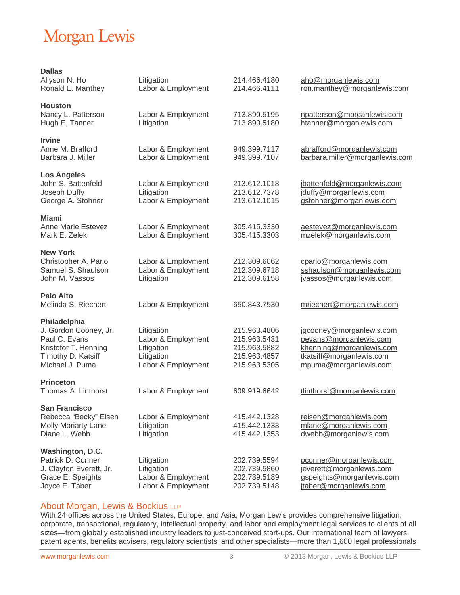| <b>Dallas</b><br>Allyson N. Ho<br>Ronald E. Manthey                                                                     | Litigation<br>Labor & Employment                                                   | 214.466.4180<br>214.466.4111                                                 | aho@morganlewis.com<br>ron.manthey@morganlewis.com                                                                                  |
|-------------------------------------------------------------------------------------------------------------------------|------------------------------------------------------------------------------------|------------------------------------------------------------------------------|-------------------------------------------------------------------------------------------------------------------------------------|
| <b>Houston</b><br>Nancy L. Patterson<br>Hugh E. Tanner                                                                  | Labor & Employment<br>Litigation                                                   | 713.890.5195<br>713.890.5180                                                 | npatterson@morganlewis.com<br>htanner@morganlewis.com                                                                               |
| <b>Irvine</b><br>Anne M. Brafford<br>Barbara J. Miller                                                                  | Labor & Employment<br>Labor & Employment                                           | 949.399.7117<br>949.399.7107                                                 | abrafford@morganlewis.com<br>barbara.miller@morganlewis.com                                                                         |
| <b>Los Angeles</b><br>John S. Battenfeld<br>Joseph Duffy<br>George A. Stohner                                           | Labor & Employment<br>Litigation<br>Labor & Employment                             | 213.612.1018<br>213.612.7378<br>213.612.1015                                 | jbattenfeld@morganlewis.com<br>jduffy@morganlewis.com<br>gstohner@morganlewis.com                                                   |
| Miami<br>Anne Marie Estevez<br>Mark E. Zelek                                                                            | Labor & Employment<br>Labor & Employment                                           | 305.415.3330<br>305.415.3303                                                 | aestevez@morganlewis.com<br>mzelek@morganlewis.com                                                                                  |
| <b>New York</b><br>Christopher A. Parlo<br>Samuel S. Shaulson<br>John M. Vassos                                         | Labor & Employment<br>Labor & Employment<br>Litigation                             | 212.309.6062<br>212.309.6718<br>212.309.6158                                 | cparlo@morganlewis.com<br>sshaulson@morganlewis.com<br>jvassos@morganlewis.com                                                      |
| Palo Alto<br>Melinda S. Riechert                                                                                        | Labor & Employment                                                                 | 650.843.7530                                                                 | mriechert@morganlewis.com                                                                                                           |
| Philadelphia<br>J. Gordon Cooney, Jr.<br>Paul C. Evans<br>Kristofor T. Henning<br>Timothy D. Katsiff<br>Michael J. Puma | Litigation<br>Labor & Employment<br>Litigation<br>Litigation<br>Labor & Employment | 215.963.4806<br>215.963.5431<br>215.963.5882<br>215.963.4857<br>215.963.5305 | jgcooney@morganlewis.com<br>pevans@morganlewis.com<br>khenning@morganlewis.com<br>tkatsiff@morganlewis.com<br>mpuma@morganlewis.com |
| <b>Princeton</b><br>Thomas A. Linthorst                                                                                 | Labor & Employment                                                                 | 609.919.6642                                                                 | tlinthorst@morganlewis.com                                                                                                          |
| <b>San Francisco</b><br>Rebecca "Becky" Eisen<br><b>Molly Moriarty Lane</b><br>Diane L. Webb                            | Labor & Employment<br>Litigation<br>Litigation                                     | 415.442.1328<br>415.442.1333<br>415.442.1353                                 | reisen@morganlewis.com<br>mlane@morganlewis.com<br>dwebb@morganlewis.com                                                            |
| Washington, D.C.<br>Patrick D. Conner<br>J. Clayton Everett, Jr.<br>Grace E. Speights<br>Joyce E. Taber                 | Litigation<br>Litigation<br>Labor & Employment<br>Labor & Employment               | 202.739.5594<br>202.739.5860<br>202.739.5189<br>202.739.5148                 | pconner@morganlewis.com<br>jeverett@morganlewis.com<br>gspeights@morganlewis.com<br>jtaber@morganlewis.com                          |

#### About Morgan, Lewis & Bockius LLP

With 24 offices across the United States, Europe, and Asia, Morgan Lewis provides comprehensive litigation, corporate, transactional, regulatory, intellectual property, and labor and employment legal services to clients of all sizes—from globally established industry leaders to just-conceived start-ups. Our international team of lawyers, patent agents, benefits advisers, regulatory scientists, and other specialists—more than 1,600 legal professionals